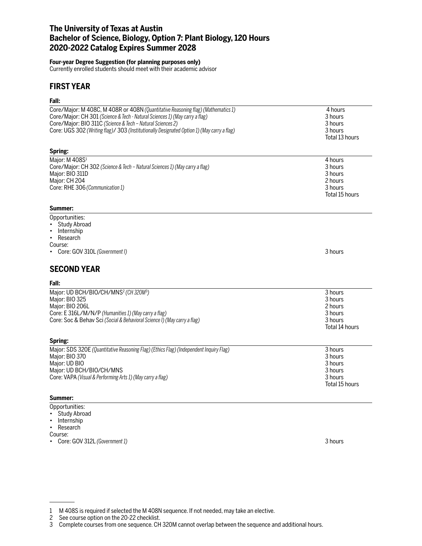# **The University of Texas at Austin Bachelor of Science, Biology, Option 7: Plant Biology, 120 Hours 2020-2022 Catalog Expires Summer 2028**

### **Four-year Degree Suggestion (for planning purposes only)**

Currently enrolled students should meet with their academic advisor

## **FIRST YEAR**

### **Fall:**

| ган.                                                                                       |                |
|--------------------------------------------------------------------------------------------|----------------|
| Core/Major: M 408C, M 408R or 408N (Quantitative Reasoning flag) (Mathematics 1)           | 4 hours        |
| Core/Major: CH 301 (Science & Tech - Natural Sciences 1) (May carry a flag)                | 3 hours        |
| Core/Major: BIO 311C (Science & Tech - Natural Sciences 2)                                 | 3 hours        |
| Core: UGS 302 (Writing flag)/ 303 (Institutionally Designated Option 1) (May carry a flag) | 3 hours        |
|                                                                                            | Total 13 hours |
|                                                                                            |                |
| Spring:                                                                                    |                |
| Major: M 408S <sup>1</sup>                                                                 | 4 hours        |
| Core/Major: CH 302 (Science & Tech - Natural Sciences 1) (May carry a flag)                | 3 hours        |
| Major: BIO 311D                                                                            | 3 hours        |
| Major: CH 204                                                                              | 2 hours        |
| Core: RHE 306 (Communication 1)                                                            | 3 hours        |
|                                                                                            | Total 15 hours |
| Summer:                                                                                    |                |
| Opportunities:                                                                             |                |
| <b>Study Abroad</b>                                                                        |                |
| Internship<br>$\bullet$                                                                    |                |
| Research<br>$\bullet$                                                                      |                |
| Course:                                                                                    |                |
| Core: GOV 310L (Government I)                                                              | 3 hours        |
|                                                                                            |                |
| <b>SECOND YEAR</b>                                                                         |                |
| Fall:                                                                                      |                |
| Major: UD BCH/BIO/CH/MNS <sup>2</sup> (CH320M <sup>3</sup> )                               | 3 hours        |
| Major: BIO 325                                                                             | 3 hours        |
| Major: BIO 206L                                                                            | 2 hours        |
| Core: E 316L/M/N/P (Humanities 1) (May carry a flag)                                       | 3 hours        |
| Core: Soc & Behav Sci (Social & Behavioral Science I) (May carry a flag)                   | 3 hours        |
|                                                                                            | Total 14 hours |
| Spring:                                                                                    |                |
| Major: SDS 320E (Quantitative Reasoning Flag) (Ethics Flag) (Independent Inquiry Flag)     | 3 hours        |
| Major: BIO 370                                                                             | 3 hours        |
| Major: UD BIO                                                                              | 3 hours        |
| Major: UD BCH/BIO/CH/MNS                                                                   | 3 hours        |
|                                                                                            | 3 hours        |
| Core: VAPA (Visual & Performing Arts 1) (May carry a flag)                                 | Total 15 hours |
|                                                                                            |                |
| Summer:                                                                                    |                |
| Opportunities:                                                                             |                |

- Study Abroad
- Internship
- Research

Course:

• Core: GOV 312L *(Government 1)* 3 hours

<sup>1</sup> M 408S is required if selected the M 408N sequence. If not needed, may take an elective.

<sup>2</sup> See course option on the 20-22 checklist.

<sup>3</sup> Complete courses from one sequence. CH 320M cannot overlap between the sequence and additional hours.